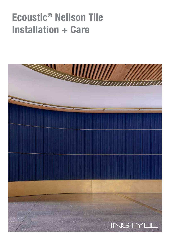# Ecoustic® Neilson Tile Installation + Care

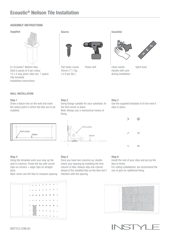# ASSEMBLY INSTRUCTIONS

Supplied



8 x Ecoustic® Neilson tiles Sold in packs of 8 per colour 13 x 4-way joiner clips (inc. 1 spare) Clip template Installation instructions



Flat-head c/sunk 25mm (1") 10g [ 4-8 per tile ]

Source Essential



Power drill Clean hands Handle with care during installation

OOO

Spirit level

## WALL INSTALLATION

#### Step 1

Draw a datum line on the wall and mark the setout point in which the tiles are to be installed.



#### Step 4

Using the template work your way up the wall in columns. Finish the top with corner  $clips on corners + edae clips on straight$ joins.

Note: never use the tiles to measure spacing.

# Step 5

Step 2

fixing.

the first corner in place.

Once you have two columns up, double check your spacing by installing the first column of tiles. Always stay one column ahead of the installed tiles so the tiles don't interfere with the spacing.

## Step 3

Use the supplied template to fix the next 6 clips in place.



#### Step 6

Install the rest of your clips and put up the tiles to finish.

For ceiling installations, we recommend the use of glue for additional fixing.









Using fixings suitable for your substrate, fix

Note: Always use a mechanical means of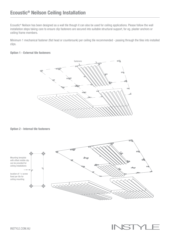Ecoustic® Neilson has been designed as a wall tile though it can also be used for ceiling applications. Please follow the wall installation steps taking care to ensure clip fasteners are secured into suitable structural support, for eg. plaster anchors or ceiling frame members.

Minimum 1 mechanical fastener (flat head or countersunk) per ceiling tile recommended - passing through the tiles into installed clips.

# Option 1 - External tile fasteners



# Option 2 - Internal tile fasteners